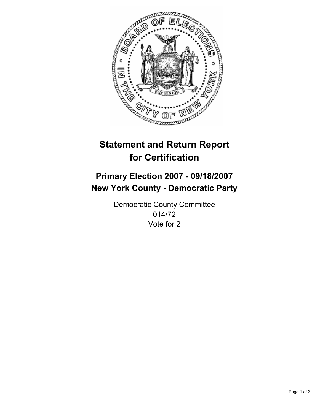

# **Statement and Return Report for Certification**

# **Primary Election 2007 - 09/18/2007 New York County - Democratic Party**

Democratic County Committee 014/72 Vote for 2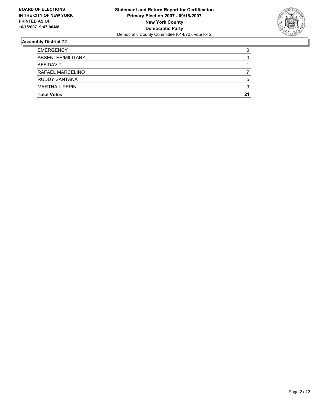

## **Assembly District 72**

| <b>EMERGENCY</b>      |    |
|-----------------------|----|
| ABSENTEE/MILITARY     |    |
| AFFIDAVIT             |    |
| RAFAEL MARCELINO      |    |
| <b>RUDDY SANTANA</b>  | b  |
| <b>MARTHA L PEPIN</b> |    |
| <b>Total Votes</b>    | 21 |